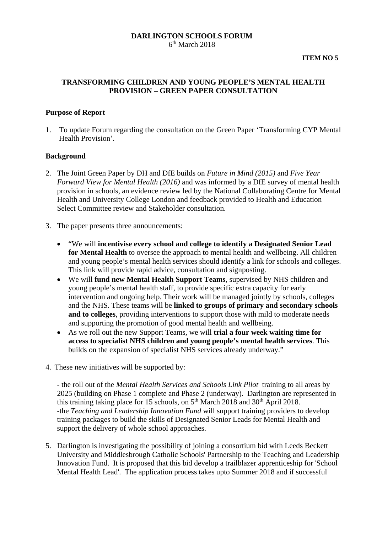#### **DARLINGTON SCHOOLS FORUM**   $6<sup>th</sup>$  March 2018

# **TRANSFORMING CHILDREN AND YOUNG PEOPLE'S MENTAL HEALTH PROVISION – GREEN PAPER CONSULTATION**

#### **Purpose of Report**

1. To update Forum regarding the consultation on the Green Paper 'Transforming CYP Mental Health Provision'.

#### **Background**

- 2. The Joint Green Paper by DH and DfE builds on *Future in Mind (2015)* and *Five Year Forward View for Mental Health (2016)* and was informed by a DfE survey of mental health provision in schools, an evidence review led by the National Collaborating Centre for Mental Health and University College London and feedback provided to Health and Education Select Committee review and Stakeholder consultation.
- 3. The paper presents three announcements:
	- "We will **incentivise every school and college to identify a Designated Senior Lead for Mental Health** to oversee the approach to mental health and wellbeing. All children and young people's mental health services should identify a link for schools and colleges. This link will provide rapid advice, consultation and signposting.
	- We will **fund new Mental Health Support Teams**, supervised by NHS children and young people's mental health staff, to provide specific extra capacity for early intervention and ongoing help. Their work will be managed jointly by schools, colleges and the NHS. These teams will be **linked to groups of primary and secondary schools and to colleges**, providing interventions to support those with mild to moderate needs and supporting the promotion of good mental health and wellbeing.
	- As we roll out the new Support Teams, we will **trial a four week waiting time for access to specialist NHS children and young people's mental health services**. This builds on the expansion of specialist NHS services already underway."
- 4. These new initiatives will be supported by:

- the roll out of the *Mental Health Services and Schools Link Pilot* training to all areas by 2025 (building on Phase 1 complete and Phase 2 (underway). Darlington are represented in this training taking place for 15 schools, on 5<sup>th</sup> March 2018 and 30<sup>th</sup> April 2018. -the *Teaching and Leadership Innovation Fund* will support training providers to develop training packages to build the skills of Designated Senior Leads for Mental Health and support the delivery of whole school approaches.

5. Darlington is investigating the possibility of joining a consortium bid with Leeds Beckett University and Middlesbrough Catholic Schools' Partnership to the Teaching and Leadership Innovation Fund. It is proposed that this bid develop a trailblazer apprenticeship for 'School Mental Health Lead'. The application process takes upto Summer 2018 and if successful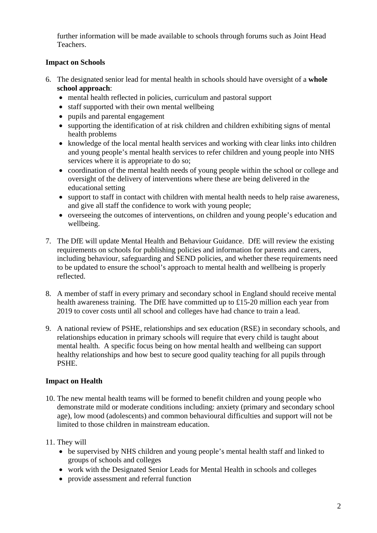further information will be made available to schools through forums such as Joint Head Teachers.

# **Impact on Schools**

- 6. The designated senior lead for mental health in schools should have oversight of a **whole school approach**:
	- mental health reflected in policies, curriculum and pastoral support
	- staff supported with their own mental wellbeing
	- pupils and parental engagement
	- supporting the identification of at risk children and children exhibiting signs of mental health problems
	- knowledge of the local mental health services and working with clear links into children and young people's mental health services to refer children and young people into NHS services where it is appropriate to do so;
	- coordination of the mental health needs of young people within the school or college and oversight of the delivery of interventions where these are being delivered in the educational setting
	- support to staff in contact with children with mental health needs to help raise awareness, and give all staff the confidence to work with young people;
	- overseeing the outcomes of interventions, on children and young people's education and wellbeing.
- 7. The DfE will update Mental Health and Behaviour Guidance. DfE will review the existing requirements on schools for publishing policies and information for parents and carers, including behaviour, safeguarding and SEND policies, and whether these requirements need to be updated to ensure the school's approach to mental health and wellbeing is properly reflected.
- 8. A member of staff in every primary and secondary school in England should receive mental health awareness training. The DfE have committed up to £15-20 million each year from 2019 to cover costs until all school and colleges have had chance to train a lead.
- 9. A national review of PSHE, relationships and sex education (RSE) in secondary schools, and relationships education in primary schools will require that every child is taught about mental health. A specific focus being on how mental health and wellbeing can support healthy relationships and how best to secure good quality teaching for all pupils through PSHE.

# **Impact on Health**

10. The new mental health teams will be formed to benefit children and young people who demonstrate mild or moderate conditions including: anxiety (primary and secondary school age), low mood (adolescents) and common behavioural difficulties and support will not be limited to those children in mainstream education.

#### 11. They will

- be supervised by NHS children and young people's mental health staff and linked to groups of schools and colleges
- work with the Designated Senior Leads for Mental Health in schools and colleges
- provide assessment and referral function